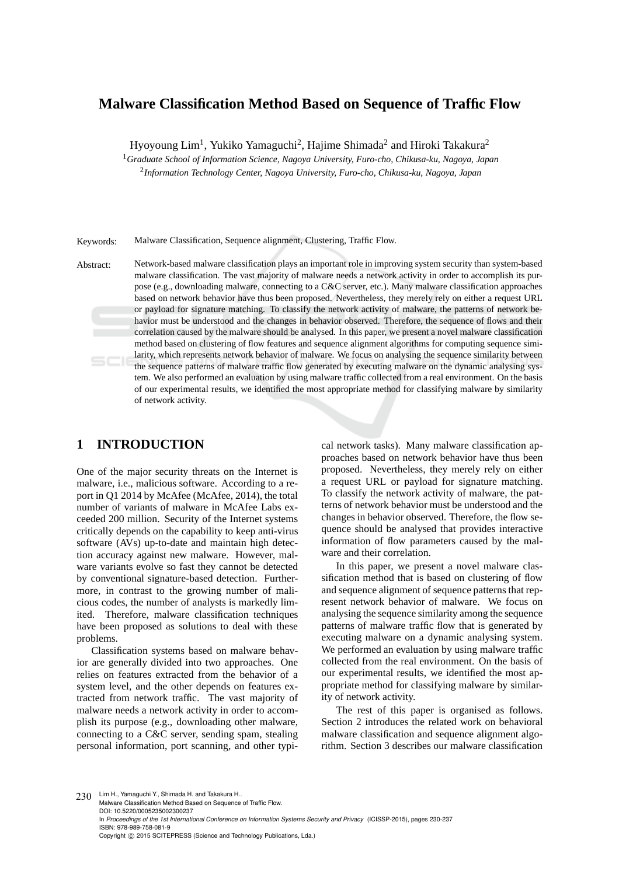# **Malware Classification Method Based on Sequence of Traffic Flow**

Hyoyoung Lim<sup>1</sup>, Yukiko Yamaguchi<sup>2</sup>, Hajime Shimada<sup>2</sup> and Hiroki Takakura<sup>2</sup>

<sup>1</sup>*Graduate School of Information Science, Nagoya University, Furo-cho, Chikusa-ku, Nagoya, Japan* 2 *Information Technology Center, Nagoya University, Furo-cho, Chikusa-ku, Nagoya, Japan*

Keywords: Malware Classification, Sequence alignment, Clustering, Traffic Flow.

Abstract: Network-based malware classification plays an important role in improving system security than system-based malware classification. The vast majority of malware needs a network activity in order to accomplish its purpose (e.g., downloading malware, connecting to a C&C server, etc.). Many malware classification approaches based on network behavior have thus been proposed. Nevertheless, they merely rely on either a request URL or payload for signature matching. To classify the network activity of malware, the patterns of network behavior must be understood and the changes in behavior observed. Therefore, the sequence of flows and their correlation caused by the malware should be analysed. In this paper, we present a novel malware classification method based on clustering of flow features and sequence alignment algorithms for computing sequence similarity, which represents network behavior of malware. We focus on analysing the sequence similarity between the sequence patterns of malware traffic flow generated by executing malware on the dynamic analysing system. We also performed an evaluation by using malware traffic collected from a real environment. On the basis of our experimental results, we identified the most appropriate method for classifying malware by similarity of network activity.

## **1 INTRODUCTION**

One of the major security threats on the Internet is malware, i.e., malicious software. According to a report in Q1 2014 by McAfee (McAfee, 2014), the total number of variants of malware in McAfee Labs exceeded 200 million. Security of the Internet systems critically depends on the capability to keep anti-virus software (AVs) up-to-date and maintain high detection accuracy against new malware. However, malware variants evolve so fast they cannot be detected by conventional signature-based detection. Furthermore, in contrast to the growing number of malicious codes, the number of analysts is markedly limited. Therefore, malware classification techniques have been proposed as solutions to deal with these problems.

Classification systems based on malware behavior are generally divided into two approaches. One relies on features extracted from the behavior of a system level, and the other depends on features extracted from network traffic. The vast majority of malware needs a network activity in order to accomplish its purpose (e.g., downloading other malware, connecting to a C&C server, sending spam, stealing personal information, port scanning, and other typical network tasks). Many malware classification approaches based on network behavior have thus been proposed. Nevertheless, they merely rely on either a request URL or payload for signature matching. To classify the network activity of malware, the patterns of network behavior must be understood and the changes in behavior observed. Therefore, the flow sequence should be analysed that provides interactive information of flow parameters caused by the malware and their correlation.

In this paper, we present a novel malware classification method that is based on clustering of flow and sequence alignment of sequence patterns that represent network behavior of malware. We focus on analysing the sequence similarity among the sequence patterns of malware traffic flow that is generated by executing malware on a dynamic analysing system. We performed an evaluation by using malware traffic collected from the real environment. On the basis of our experimental results, we identified the most appropriate method for classifying malware by similarity of network activity.

The rest of this paper is organised as follows. Section 2 introduces the related work on behavioral malware classification and sequence alignment algorithm. Section 3 describes our malware classification

230 Lim H., Yamaguchi Y., Shimada H. and Takakura H.. Malware Classification Method Based on Sequence of Traffic Flow. DOI: 10.5220/0005235002300237 In *Proceedings of the 1st International Conference on Information Systems Security and Privacy* (ICISSP-2015), pages 230-237 ISBN: 978-989-758-081-9 Copyright © 2015 SCITEPRESS (Science and Technology Publications, Lda.)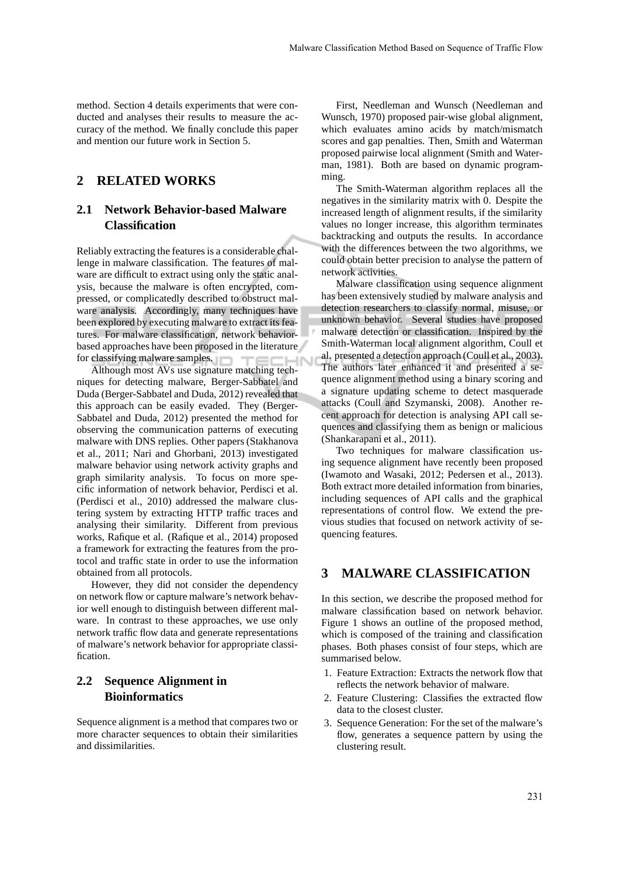method. Section 4 details experiments that were conducted and analyses their results to measure the accuracy of the method. We finally conclude this paper and mention our future work in Section 5.

## **2 RELATED WORKS**

## **2.1 Network Behavior-based Malware Classification**

Reliably extracting the features is a considerable challenge in malware classification. The features of malware are difficult to extract using only the static analysis, because the malware is often encrypted, compressed, or complicatedly described to obstruct malware analysis. Accordingly, many techniques have been explored by executing malware to extract its features. For malware classification, network behaviorbased approaches have been proposed in the literature for classifying malware samples.

Although most AVs use signature matching techniques for detecting malware, Berger-Sabbatel and Duda (Berger-Sabbatel and Duda, 2012) revealed that this approach can be easily evaded. They (Berger-Sabbatel and Duda, 2012) presented the method for observing the communication patterns of executing malware with DNS replies. Other papers (Stakhanova et al., 2011; Nari and Ghorbani, 2013) investigated malware behavior using network activity graphs and graph similarity analysis. To focus on more specific information of network behavior, Perdisci et al. (Perdisci et al., 2010) addressed the malware clustering system by extracting HTTP traffic traces and analysing their similarity. Different from previous works, Rafique et al. (Rafique et al., 2014) proposed a framework for extracting the features from the protocol and traffic state in order to use the information obtained from all protocols.

However, they did not consider the dependency on network flow or capture malware's network behavior well enough to distinguish between different malware. In contrast to these approaches, we use only network traffic flow data and generate representations of malware's network behavior for appropriate classification.

## **2.2 Sequence Alignment in Bioinformatics**

Sequence alignment is a method that compares two or more character sequences to obtain their similarities and dissimilarities.

First, Needleman and Wunsch (Needleman and Wunsch, 1970) proposed pair-wise global alignment, which evaluates amino acids by match/mismatch scores and gap penalties. Then, Smith and Waterman proposed pairwise local alignment (Smith and Waterman, 1981). Both are based on dynamic programming.

The Smith-Waterman algorithm replaces all the negatives in the similarity matrix with 0. Despite the increased length of alignment results, if the similarity values no longer increase, this algorithm terminates backtracking and outputs the results. In accordance with the differences between the two algorithms, we could obtain better precision to analyse the pattern of network activities.

Malware classification using sequence alignment has been extensively studied by malware analysis and detection researchers to classify normal, misuse, or unknown behavior. Several studies have proposed malware detection or classification. Inspired by the Smith-Waterman local alignment algorithm, Coull et al. presented a detection approach (Coull et al., 2003). The authors later enhanced it and presented a sequence alignment method using a binary scoring and a signature updating scheme to detect masquerade attacks (Coull and Szymanski, 2008). Another recent approach for detection is analysing API call sequences and classifying them as benign or malicious (Shankarapani et al., 2011).

Two techniques for malware classification using sequence alignment have recently been proposed (Iwamoto and Wasaki, 2012; Pedersen et al., 2013). Both extract more detailed information from binaries, including sequences of API calls and the graphical representations of control flow. We extend the previous studies that focused on network activity of sequencing features.

## **3 MALWARE CLASSIFICATION**

In this section, we describe the proposed method for malware classification based on network behavior. Figure 1 shows an outline of the proposed method, which is composed of the training and classification phases. Both phases consist of four steps, which are summarised below.

- 1. Feature Extraction: Extracts the network flow that reflects the network behavior of malware.
- 2. Feature Clustering: Classifies the extracted flow data to the closest cluster.
- 3. Sequence Generation: For the set of the malware's flow, generates a sequence pattern by using the clustering result.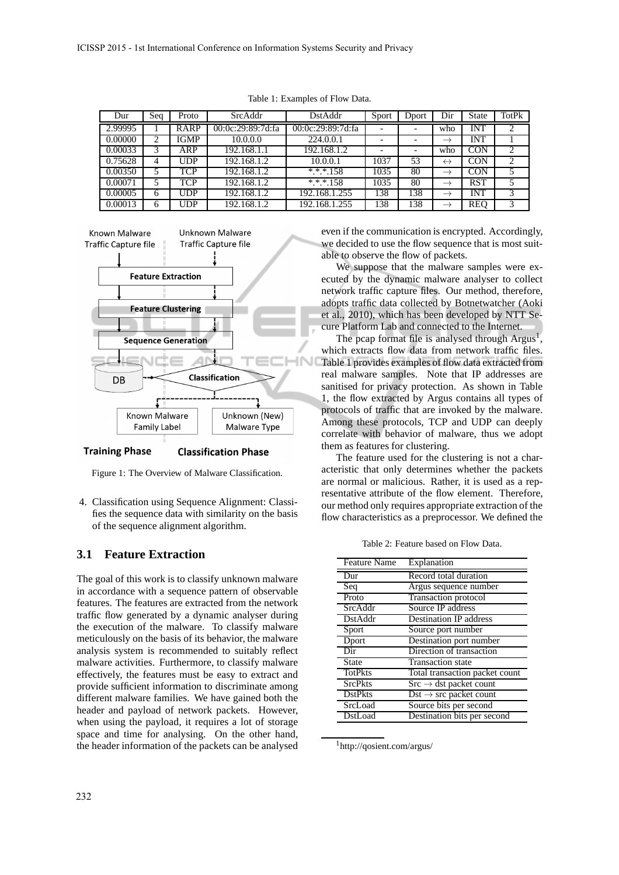| Dur     | Seq | Proto       | SrcAddr           | DstAddr           | Sport | Dport | Dir               | <b>State</b> | TotPk |
|---------|-----|-------------|-------------------|-------------------|-------|-------|-------------------|--------------|-------|
| 2.99995 |     | <b>RARP</b> | 00:0c:29:89:7d:fa | 00:0c:29:89:7d:fa |       |       | who               | INT          |       |
| 0.00000 | 2   | <b>IGMP</b> | 10.0.0.0          | 224.0.0.1         |       |       | $\longrightarrow$ | <b>INT</b>   |       |
| 0.00033 | 3   | ARP         | 192.168.1.1       | 192.168.1.2       |       |       | who               | <b>CON</b>   | 2     |
| 0.75628 | 4   | <b>JDP</b>  | 192.168.1.2       | 10.0.0.1          | 1037  | 53    | $\leftrightarrow$ | <b>CON</b>   | 2     |
| 0.00350 | 5   | <b>TCP</b>  | 192.168.1.2       | $*.*.*.158$       | 1035  | 80    | $\longrightarrow$ | <b>CON</b>   | 5     |
| 0.00071 | 5   | TCP         | 192.168.1.2       | $* * * 158$       | 1035  | 80    | $\rightarrow$     | <b>RST</b>   | 5     |
| 0.00005 | 6   | UDP         | 192.168.1.2       | 192.168.1.255     | 138   | 138   | $\rightarrow$     | INT          | 3     |
| 0.00013 | 6   | JDP         | 192.168.1.2       | 192.168.1.255     | 138   | 138   | $\rightarrow$     | <b>REO</b>   | 3     |

Table 1: Examples of Flow Data.



**Training Phase Classification Phase** 

Figure 1: The Overview of Malware Classification.

4. Classification using Sequence Alignment: Classifies the sequence data with similarity on the basis of the sequence alignment algorithm.

### **3.1 Feature Extraction**

The goal of this work is to classify unknown malware in accordance with a sequence pattern of observable features. The features are extracted from the network traffic flow generated by a dynamic analyser during the execution of the malware. To classify malware meticulously on the basis of its behavior, the malware analysis system is recommended to suitably reflect malware activities. Furthermore, to classify malware effectively, the features must be easy to extract and provide sufficient information to discriminate among different malware families. We have gained both the header and payload of network packets. However, when using the payload, it requires a lot of storage space and time for analysing. On the other hand, the header information of the packets can be analysed even if the communication is encrypted. Accordingly, we decided to use the flow sequence that is most suitable to observe the flow of packets.

We suppose that the malware samples were executed by the dynamic malware analyser to collect network traffic capture files. Our method, therefore, adopts traffic data collected by Botnetwatcher (Aoki et al., 2010), which has been developed by NTT Secure Platform Lab and connected to the Internet.

The pcap format file is analysed through  $Argus<sup>1</sup>$ , which extracts flow data from network traffic files. Table 1 provides examples of flow data extracted from real malware samples. Note that IP addresses are sanitised for privacy protection. As shown in Table 1, the flow extracted by Argus contains all types of protocols of traffic that are invoked by the malware. Among these protocols, TCP and UDP can deeply correlate with behavior of malware, thus we adopt them as features for clustering.

The feature used for the clustering is not a characteristic that only determines whether the packets are normal or malicious. Rather, it is used as a representative attribute of the flow element. Therefore, our method only requires appropriate extraction of the flow characteristics as a preprocessor. We defined the

Table 2: Feature based on Flow Data.

| <b>Feature Name</b> | Explanation                               |
|---------------------|-------------------------------------------|
| Dur                 | Record total duration                     |
| Seq                 | Argus sequence number                     |
| Proto               | Transaction protocol                      |
| SrcAddr             | Source IP address                         |
| <b>DstAddr</b>      | <b>Destination IP address</b>             |
| Sport               | Source port number                        |
| Dport               | Destination port number                   |
| Dir                 | Direction of transaction                  |
| <b>State</b>        | <b>Transaction</b> state                  |
| <b>TotPkts</b>      | Total transaction packet count            |
| <b>SrcPkts</b>      | $Src \rightarrow \text{dst packet count}$ |
| <b>DstPkts</b>      | $Dist \rightarrow src$ packet count       |
| SrcLoad             | Source bits per second                    |
| DstLoad             | Destination bits per second               |

<sup>1</sup>http://qosient.com/argus/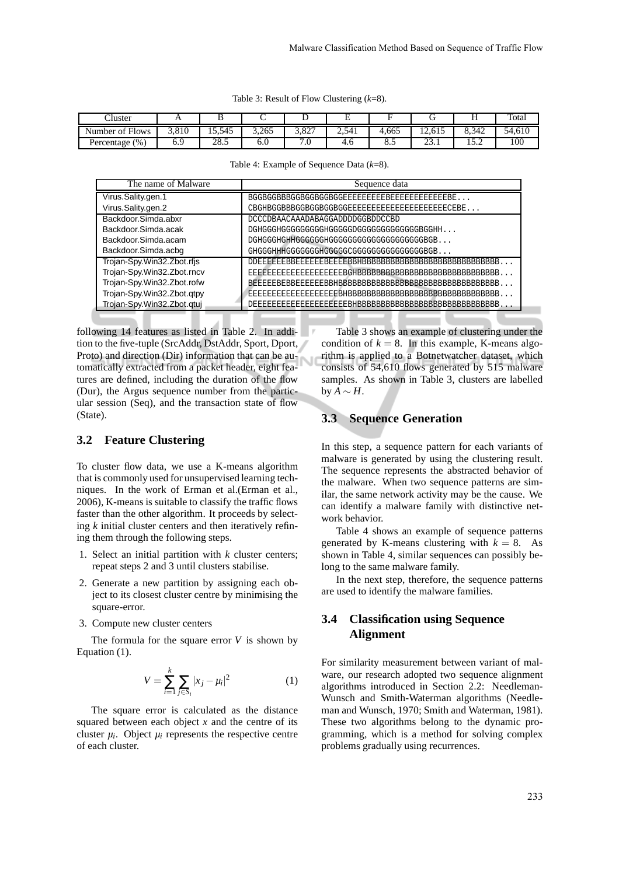|  |  |  | Table 3: Result of Flow Clustering $(k=8)$ . |  |
|--|--|--|----------------------------------------------|--|
|--|--|--|----------------------------------------------|--|

| $\sim$<br>'luster                          | . .   |        |       |                 |       |       |             | . .                              | Total              |
|--------------------------------------------|-------|--------|-------|-----------------|-------|-------|-------------|----------------------------------|--------------------|
| $c_{\rm{m1}}$<br>Number of<br><b>Flows</b> | 3,810 | 15.545 | 3.265 | 0.27<br>/ 20…   | 2,541 | 1.665 | 12,615      | 8.342                            | 54,61 <sup>c</sup> |
| (% , )<br>Percentage,                      | 0.Y   | 28.5   | o.u   | $\cdot$ $\circ$ | 4.U   | o.    | ^^<br>2.3.1 | $\overline{\phantom{0}}$<br>10.Z | 100                |

| The name of Malware        | Sequence data                             |
|----------------------------|-------------------------------------------|
| Virus.Sality.gen.1         |                                           |
| Virus.Sality.gen.2         |                                           |
| Backdoor.Simda.abxr        | DCCCDBAACAAADABAGGADDDDGGBDDCCBD          |
| Backdoor.Simda.acak        | DGHGGGHGGGGGGGGGGGGGGGGGGGGGGGGGGGGGGEGHH |
| Backdoor.Simda.acam        |                                           |
| Backdoor.Simda.acbg        |                                           |
| Trojan-Spy.Win32.Zbot.rfjs |                                           |
| Trojan-Spy.Win32.Zbot.rncv |                                           |
| Trojan-Spy.Win32.Zbot.rofw |                                           |
| Trojan-Spy.Win32.Zbot.qtpy |                                           |
| Trojan-Spy.Win32.Zbot.qtuj |                                           |

following 14 features as listed in Table 2. In addition to the five-tuple (SrcAddr, DstAddr, Sport, Dport, Proto) and direction (Dir) information that can be automatically extracted from a packet header, eight features are defined, including the duration of the flow (Dur), the Argus sequence number from the particular session (Seq), and the transaction state of flow (State).

#### **3.2 Feature Clustering**

To cluster flow data, we use a K-means algorithm that is commonly used for unsupervised learning techniques. In the work of Erman et al.(Erman et al., 2006), K-means is suitable to classify the traffic flows faster than the other algorithm. It proceeds by selecting *k* initial cluster centers and then iteratively refining them through the following steps.

- 1. Select an initial partition with *k* cluster centers; repeat steps 2 and 3 until clusters stabilise.
- 2. Generate a new partition by assigning each object to its closest cluster centre by minimising the square-error.
- 3. Compute new cluster centers

The formula for the square error *V* is shown by Equation (1).

$$
V = \sum_{i=1}^{k} \sum_{j \in S_i} |x_j - \mu_i|^2
$$
 (1)

The square error is calculated as the distance squared between each object *x* and the centre of its cluster  $\mu_i$ . Object  $\mu_i$  represents the respective centre of each cluster.

Table 3 shows an example of clustering under the condition of  $k = 8$ . In this example, K-means algorithm is applied to a Botnetwatcher dataset, which consists of 54,610 flows generated by 515 malware samples. As shown in Table 3, clusters are labelled  $b \vee A \sim H$ .

#### **3.3 Sequence Generation**

In this step, a sequence pattern for each variants of malware is generated by using the clustering result. The sequence represents the abstracted behavior of the malware. When two sequence patterns are similar, the same network activity may be the cause. We can identify a malware family with distinctive network behavior.

Table 4 shows an example of sequence patterns generated by K-means clustering with  $k = 8$ . As shown in Table 4, similar sequences can possibly belong to the same malware family.

In the next step, therefore, the sequence patterns are used to identify the malware families.

## **3.4 Classification using Sequence Alignment**

For similarity measurement between variant of malware, our research adopted two sequence alignment algorithms introduced in Section 2.2: Needleman-Wunsch and Smith-Waterman algorithms (Needleman and Wunsch, 1970; Smith and Waterman, 1981). These two algorithms belong to the dynamic programming, which is a method for solving complex problems gradually using recurrences.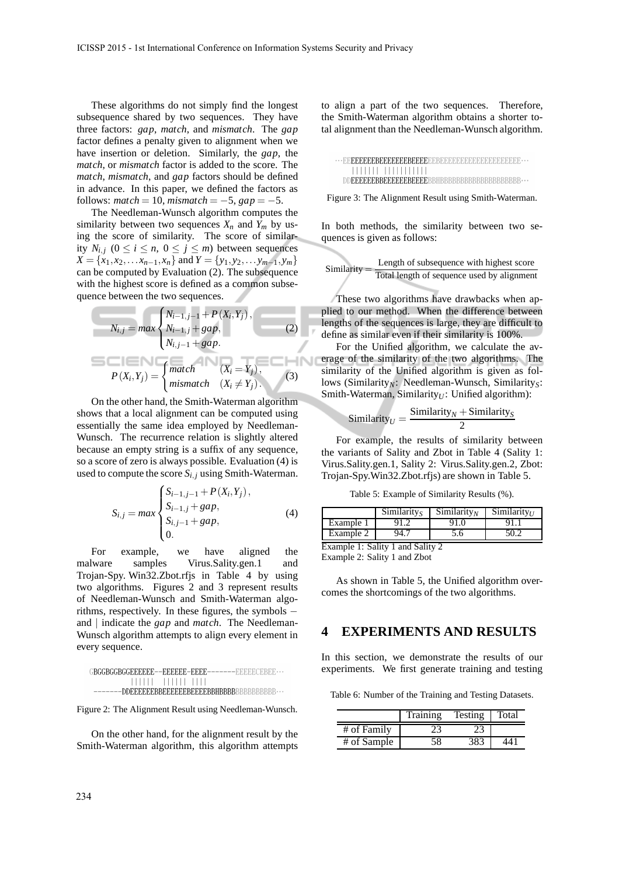These algorithms do not simply find the longest subsequence shared by two sequences. They have three factors: *gap*, *match*, and *mismatch*. The *gap* factor defines a penalty given to alignment when we have insertion or deletion. Similarly, the *gap*, the *match*, or *mismatch* factor is added to the score. The *match*, *mismatch*, and *gap* factors should be defined in advance. In this paper, we defined the factors as follows:  $match = 10$ ,  $mismatch = -5$ ,  $gap = -5$ .

The Needleman-Wunsch algorithm computes the similarity between two sequences  $X_n$  and  $Y_m$  by using the score of similarity. The score of similarity  $N_{i,j}$   $(0 \le i \le n, 0 \le j \le m)$  between sequences  $X = \{x_1, x_2, \ldots, x_{n-1}, x_n\}$  and  $Y = \{y_1, y_2, \ldots, y_{m-1}, y_m\}$ can be computed by Evaluation (2). The subsequence with the highest score is defined as a common subsequence between the two sequences.

$$
N_{i,j} = max \begin{cases} N_{i-1,j-1} + P(X_i, Y_j), \\ N_{i-1,j} + gap, \\ N_{i,j-1} + gap. \end{cases}
$$
 (2)  

$$
P(X_i, Y_j) = \begin{cases} match & (X_i = Y_j), \\ mismatch & (X_i \neq Y_j). \end{cases}
$$
 (3)

On the other hand, the Smith-Waterman algorithm shows that a local alignment can be computed using essentially the same idea employed by Needleman-Wunsch. The recurrence relation is slightly altered because an empty string is a suffix of any sequence, so a score of zero is always possible. Evaluation (4) is used to compute the score  $S_{i,j}$  using Smith-Waterman.

$$
S_{i,j} = max \begin{cases} S_{i-1,j-1} + P(X_i, Y_j), \\ S_{i-1,j} + gap, \\ S_{i,j-1} + gap, \\ 0. \end{cases}
$$
 (4)

For example, we have aligned the malware samples Virus.Sality.gen.1 and Trojan-Spy. Win32.Zbot.rfjs in Table 4 by using two algorithms. Figures 2 and 3 represent results of Needleman-Wunsch and Smith-Waterman algorithms, respectively. In these figures, the symbols − and | indicate the *gap* and *match*. The Needleman-Wunsch algorithm attempts to align every element in every sequence.

| $G\textsf{BGGBGGBGGEEEEEE} \textsf{=} - \textsf{EEEEEE} \textsf{=} \textsf{EEEE} \textsf{=} \textsf{=} \textsf{=} \textsf{=} \textsf{=} \textsf{EEEECEEEE} \textsf{=} \textsf{=} \textsf{=} \textsf{=} \textsf{=} \textsf{=} \textsf{=} \textsf{=} \textsf{=} \textsf{=} \textsf{=} \textsf{=} \textsf{=} \textsf{=} \textsf{=} \textsf{=} \textsf{=} \textsf{=} \textsf{=} \textsf{=} \textsf{=} \textsf{=} \$ |
|-----------------------------------------------------------------------------------------------------------------------------------------------------------------------------------------------------------------------------------------------------------------------------------------------------------------------------------------------------------------------------------------------------------------|
| ,,,,,,,,,,,,,,,,,,                                                                                                                                                                                                                                                                                                                                                                                              |
|                                                                                                                                                                                                                                                                                                                                                                                                                 |

Figure 2: The Alignment Result using Needleman-Wunsch.

On the other hand, for the alignment result by the Smith-Waterman algorithm, this algorithm attempts to align a part of the two sequences. Therefore, the Smith-Waterman algorithm obtains a shorter total alignment than the Needleman-Wunsch algorithm.

| . |  |
|---|--|
|   |  |

Figure 3: The Alignment Result using Smith-Waterman.

In both methods, the similarity between two sequences is given as follows:

Similarly = 
$$
\frac{\text{Length of subsequence with highest score}}{\text{Total length of sequence used by alignment}}
$$

These two algorithms have drawbacks when applied to our method. When the difference between lengths of the sequences is large, they are difficult to define as similar even if their similarity is 100%.

For the Unified algorithm, we calculate the average of the similarity of the two algorithms. The similarity of the Unified algorithm is given as follows (Similarity<sub>N</sub>: Needleman-Wunsch, Similarity<sub>S</sub>: Smith-Waterman, Similarity<sub>U</sub>: Unified algorithm):

$$
Similarity_U = \frac{Similarity_N + Similarity_S}{2}
$$

For example, the results of similarity between the variants of Sality and Zbot in Table 4 (Sality 1: Virus.Sality.gen.1, Sality 2: Virus.Sality.gen.2, Zbot: Trojan-Spy.Win32.Zbot.rfjs) are shown in Table 5.

Table 5: Example of Similarity Results (%).

|                                  | Similaritys | Similarity <sub>N</sub> | Similarity <sub>U</sub> |  |  |  |  |  |
|----------------------------------|-------------|-------------------------|-------------------------|--|--|--|--|--|
| Example 1                        | 91.2        | 91.0                    |                         |  |  |  |  |  |
| Example 2                        | 94.7        | 5.6                     | 50.2                    |  |  |  |  |  |
| Example 1: Sality 1 and Sality 2 |             |                         |                         |  |  |  |  |  |

Example 2: Sality 1 and Zbot

As shown in Table 5, the Unified algorithm overcomes the shortcomings of the two algorithms.

#### **4 EXPERIMENTS AND RESULTS**

In this section, we demonstrate the results of our experiments. We first generate training and testing

Table 6: Number of the Training and Testing Datasets.

|             | Training | Testing | Total |
|-------------|----------|---------|-------|
| # of Family |          |         |       |
| # of Sample | 58       | 383     |       |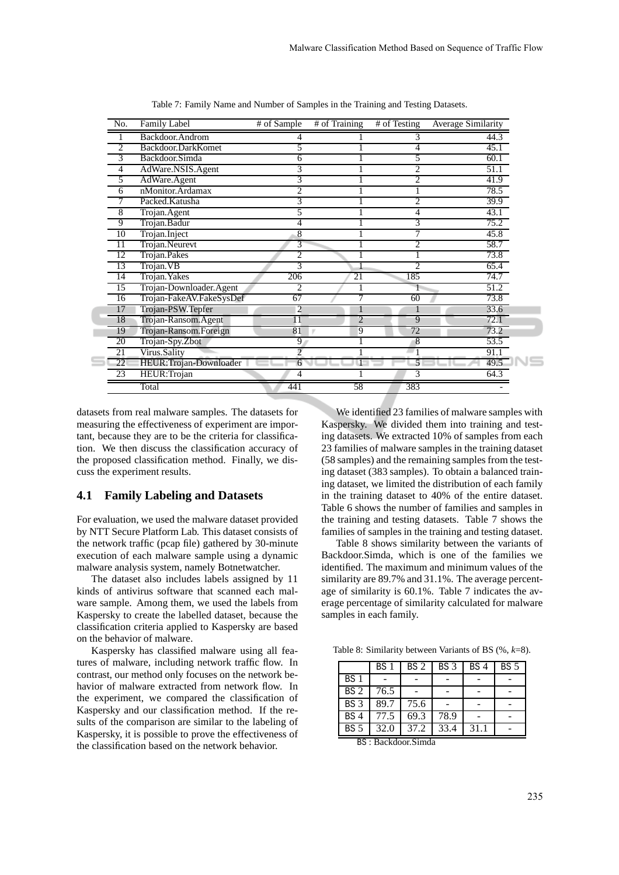| No.             | <b>Family Label</b>      | # of Sample     | # of Training  | # of Testing   | <b>Average Similarity</b> |
|-----------------|--------------------------|-----------------|----------------|----------------|---------------------------|
|                 | Backdoor.Androm          |                 |                |                | 44.3                      |
| $\overline{c}$  | Backdoor.DarkKomet       | 5               |                | 4              | 45.1                      |
| 3               | Backdoor.Simda           | 6               |                | 5              | 60.1                      |
| 4               | AdWare.NSIS.Agent        | 3               |                | 2              | 51.1                      |
| 5               | AdWare.Agent             | 3               |                | 2              | 41.9                      |
| 6               | nMonitor.Ardamax         | 2               |                |                | 78.5                      |
| 7               | Packed.Katusha           | 3               |                | 2              | 39.9                      |
| 8               | Trojan.Agent             | 5               |                | 4              | 43.1                      |
| 9               | Trojan.Badur             | 4               |                | 3              | 75.2                      |
| $\overline{10}$ | Trojan.Inject            | 8               |                |                | 45.8                      |
| 11              | Trojan.Neurevt           | 3               |                | 2              | 58.7                      |
| 12              | Trojan.Pakes             | 2               |                |                | 73.8                      |
| 13              | Trojan. VB               | 3               |                | $\overline{c}$ | 65.4                      |
| 14              | Trojan. Yakes            | 206             | 21             | 185            | 74.7                      |
| 15              | Trojan-Downloader.Agent  | 2               |                |                | 51.2                      |
| 16              | Trojan-FakeAV.FakeSysDef | 67              | 7              | 60             | 73.8                      |
| 17              | Trojan-PSW.Tepfer        | 2               | 1              |                | 33.6                      |
| 18              | Trojan-Ransom.Agent      | $\overline{11}$ | $\overline{2}$ | $\overline{9}$ | 72.1                      |
| 19              | Trojan-Ransom.Foreign    | 81              | 9              | 72             | 73.2                      |
| 20              | Trojan-Spy.Zbot          | 9 <sup>2</sup>  |                | 8              | 53.5                      |
| 21              | Virus.Sality             | $\overline{2}$  |                |                | 91.1                      |
| 22              | HEUR:Trojan-Downloader   | 6               |                |                | 49.5                      |
| 23              | HEUR:Trojan              | 4               |                | 3              | 64.3                      |
|                 | Total                    | 441             | 58             | 383            |                           |

Table 7: Family Name and Number of Samples in the Training and Testing Datasets.

datasets from real malware samples. The datasets for measuring the effectiveness of experiment are important, because they are to be the criteria for classification. We then discuss the classification accuracy of the proposed classification method. Finally, we discuss the experiment results.

#### **4.1 Family Labeling and Datasets**

For evaluation, we used the malware dataset provided by NTT Secure Platform Lab. This dataset consists of the network traffic (pcap file) gathered by 30-minute execution of each malware sample using a dynamic malware analysis system, namely Botnetwatcher.

The dataset also includes labels assigned by 11 kinds of antivirus software that scanned each malware sample. Among them, we used the labels from Kaspersky to create the labelled dataset, because the classification criteria applied to Kaspersky are based on the behavior of malware.

Kaspersky has classified malware using all features of malware, including network traffic flow. In contrast, our method only focuses on the network behavior of malware extracted from network flow. In the experiment, we compared the classification of Kaspersky and our classification method. If the results of the comparison are similar to the labeling of Kaspersky, it is possible to prove the effectiveness of the classification based on the network behavior.

We identified 23 families of malware samples with Kaspersky. We divided them into training and testing datasets. We extracted 10% of samples from each 23 families of malware samples in the training dataset (58 samples) and the remaining samples from the testing dataset (383 samples). To obtain a balanced training dataset, we limited the distribution of each family in the training dataset to 40% of the entire dataset. Table 6 shows the number of families and samples in the training and testing datasets. Table 7 shows the families of samples in the training and testing dataset.

Table 8 shows similarity between the variants of Backdoor.Simda, which is one of the families we identified. The maximum and minimum values of the similarity are 89.7% and 31.1%. The average percentage of similarity is 60.1%. Table 7 indicates the average percentage of similarity calculated for malware samples in each family.

Table 8: Similarity between Variants of BS (%, *k*=8).

|                 | BS <sub>1</sub> | BS <sub>2</sub> | BS 3              | BS <sub>4</sub> | BS <sub>5</sub> |
|-----------------|-----------------|-----------------|-------------------|-----------------|-----------------|
| BS <sub>1</sub> |                 |                 |                   |                 |                 |
| BS <sub>2</sub> | 76.5            |                 |                   |                 |                 |
| BS <sub>3</sub> | 89.7            | 75.6            |                   |                 |                 |
| BS <sub>4</sub> | 77.5            | 69.3            | $78.\overline{9}$ |                 |                 |
| BS <sub>5</sub> | 32.0            | 37.2            | 33.4              | 31.1            |                 |

BS : Backdoor.Simda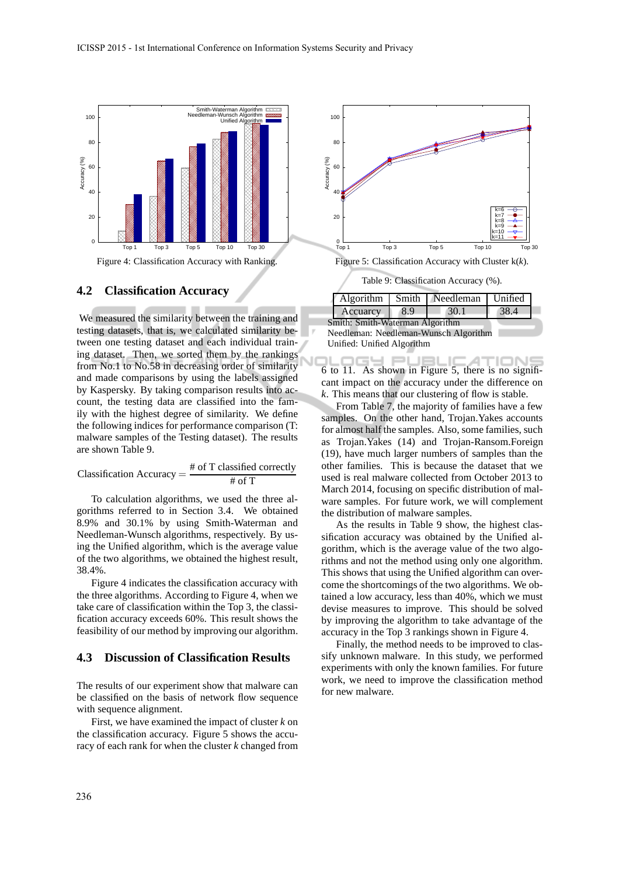

#### **4.2 Classification Accuracy**

We measured the similarity between the training and testing datasets, that is, we calculated similarity between one testing dataset and each individual training dataset. Then, we sorted them by the rankings from No.1 to No.58 in decreasing order of similarity and made comparisons by using the labels assigned by Kaspersky. By taking comparison results into account, the testing data are classified into the family with the highest degree of similarity. We define the following indices for performance comparison (T: malware samples of the Testing dataset). The results are shown Table 9.

Classification Accuracy = 
$$
\frac{\text{\# of T classified correctly}}{\text{\# of T}}
$$

To calculation algorithms, we used the three algorithms referred to in Section 3.4. We obtained 8.9% and 30.1% by using Smith-Waterman and Needleman-Wunsch algorithms, respectively. By using the Unified algorithm, which is the average value of the two algorithms, we obtained the highest result, 38.4%.

Figure 4 indicates the classification accuracy with the three algorithms. According to Figure 4, when we take care of classification within the Top 3, the classification accuracy exceeds 60%. This result shows the feasibility of our method by improving our algorithm.

#### **4.3 Discussion of Classification Results**

The results of our experiment show that malware can be classified on the basis of network flow sequence with sequence alignment.

First, we have examined the impact of cluster *k* on the classification accuracy. Figure 5 shows the accuracy of each rank for when the cluster *k* changed from



Table 9: Classification Accuracy (%).

|                                       |          |     | Algorithm   Smith   Needleman | Unified |
|---------------------------------------|----------|-----|-------------------------------|---------|
|                                       | Accuarcy | 8.9 | 30.1                          | 38.4    |
| Smith: Smith-Waterman Algorithm       |          |     |                               |         |
| Needleman: Needleman-Wunsch Algorithm |          |     |                               |         |

Unified: Unified Algorithm

IGY PUBLIC ⊿ **IONS** 6 to 11. As shown in Figure 5, there is no significant impact on the accuracy under the difference on *k*. This means that our clustering of flow is stable.

From Table 7, the majority of families have a few samples. On the other hand, Trojan.Yakes accounts for almost half the samples. Also, some families, such as Trojan.Yakes (14) and Trojan-Ransom.Foreign (19), have much larger numbers of samples than the other families. This is because the dataset that we used is real malware collected from October 2013 to March 2014, focusing on specific distribution of malware samples. For future work, we will complement the distribution of malware samples.

As the results in Table 9 show, the highest classification accuracy was obtained by the Unified algorithm, which is the average value of the two algorithms and not the method using only one algorithm. This shows that using the Unified algorithm can overcome the shortcomings of the two algorithms. We obtained a low accuracy, less than 40%, which we must devise measures to improve. This should be solved by improving the algorithm to take advantage of the accuracy in the Top 3 rankings shown in Figure 4.

Finally, the method needs to be improved to classify unknown malware. In this study, we performed experiments with only the known families. For future work, we need to improve the classification method for new malware.